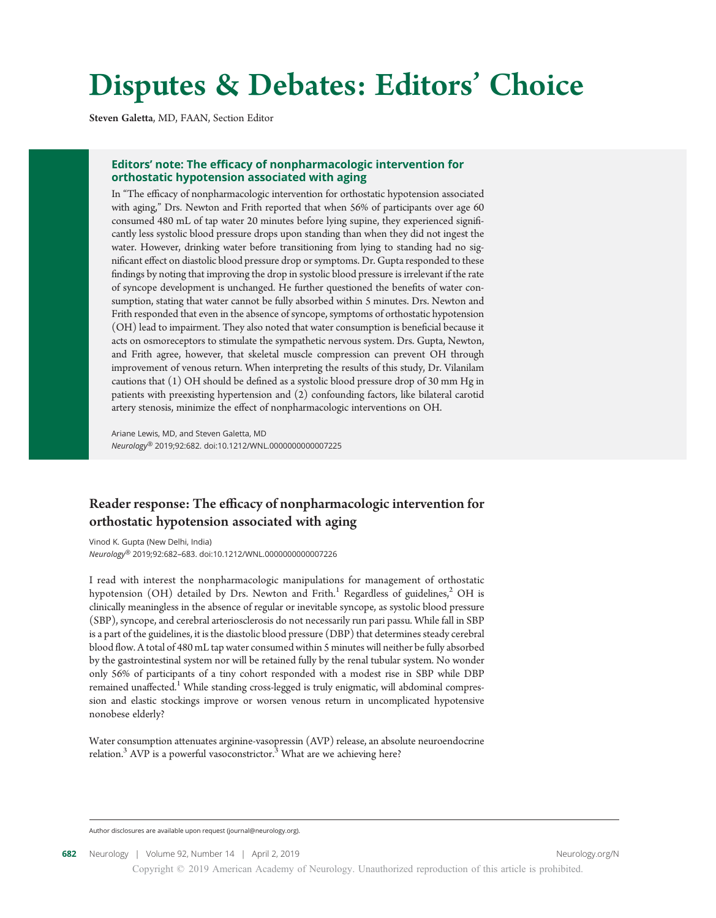# Disputes & Debates: Editors' Choice

Steven Galetta, MD, FAAN, Section Editor

#### Editors' note: The efficacy of nonpharmacologic intervention for orthostatic hypotension associated with aging

In "The efficacy of nonpharmacologic intervention for orthostatic hypotension associated with aging," Drs. Newton and Frith reported that when 56% of participants over age 60 consumed 480 mL of tap water 20 minutes before lying supine, they experienced significantly less systolic blood pressure drops upon standing than when they did not ingest the water. However, drinking water before transitioning from lying to standing had no significant effect on diastolic blood pressure drop or symptoms. Dr. Gupta responded to these findings by noting that improving the drop in systolic blood pressure is irrelevant if the rate of syncope development is unchanged. He further questioned the benefits of water consumption, stating that water cannot be fully absorbed within 5 minutes. Drs. Newton and Frith responded that even in the absence of syncope, symptoms of orthostatic hypotension (OH) lead to impairment. They also noted that water consumption is beneficial because it acts on osmoreceptors to stimulate the sympathetic nervous system. Drs. Gupta, Newton, and Frith agree, however, that skeletal muscle compression can prevent OH through improvement of venous return. When interpreting the results of this study, Dr. Vilanilam cautions that (1) OH should be defined as a systolic blood pressure drop of 30 mm Hg in patients with preexisting hypertension and (2) confounding factors, like bilateral carotid artery stenosis, minimize the effect of nonpharmacologic interventions on OH.

Ariane Lewis, MD, and Steven Galetta, MD Neurology® 2019;92:682. doi:10.1212/WNL.0000000000007225

## Reader response: The efficacy of nonpharmacologic intervention for orthostatic hypotension associated with aging

Vinod K. Gupta (New Delhi, India) Neurology® 2019;92:682–683. doi:10.1212/WNL.0000000000007226

I read with interest the nonpharmacologic manipulations for management of orthostatic hypotension (OH) detailed by Drs. Newton and Frith.<sup>1</sup> Regardless of guidelines,<sup>2</sup> OH is clinically meaningless in the absence of regular or inevitable syncope, as systolic blood pressure (SBP), syncope, and cerebral arteriosclerosis do not necessarily run pari passu. While fall in SBP is a part of the guidelines, it is the diastolic blood pressure (DBP) that determines steady cerebral blood flow. A total of 480 mL tap water consumed within 5 minutes will neither be fully absorbed by the gastrointestinal system nor will be retained fully by the renal tubular system. No wonder only 56% of participants of a tiny cohort responded with a modest rise in SBP while DBP remained unaffected.<sup>1</sup> While standing cross-legged is truly enigmatic, will abdominal compression and elastic stockings improve or worsen venous return in uncomplicated hypotensive nonobese elderly?

Water consumption attenuates arginine-vasopressin (AVP) release, an absolute neuroendocrine relation.<sup>3</sup> AVP is a powerful vasoconstrictor.<sup>3</sup> What are we achieving here?

Author disclosures are available upon request ([journal@neurology.org](mailto:journal@neurology.org)).

Copyright © 2019 American Academy of Neurology. Unauthorized reproduction of this article is prohibited.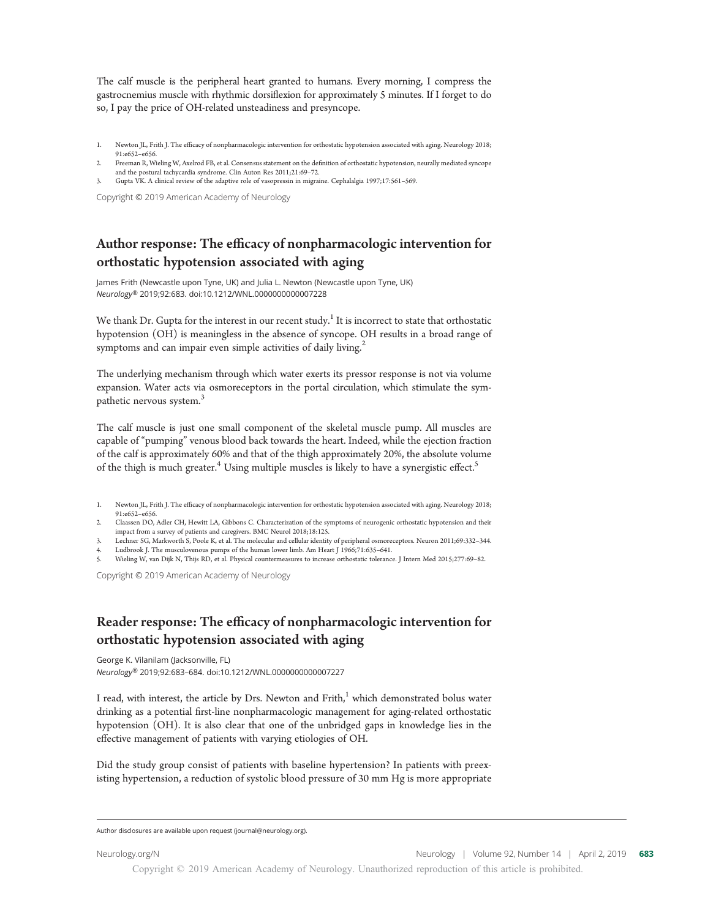The calf muscle is the peripheral heart granted to humans. Every morning, I compress the gastrocnemius muscle with rhythmic dorsiflexion for approximately 5 minutes. If I forget to do so, I pay the price of OH-related unsteadiness and presyncope.

- 1. Newton JL, Frith J. The efficacy of nonpharmacologic intervention for orthostatic hypotension associated with aging. Neurology 2018; 91:e652–e656.
- 2. Freeman R, Wieling W, Axelrod FB, et al. Consensus statement on the definition of orthostatic hypotension, neurally mediated syncope and the postural tachycardia syndrome. Clin Auton Res 2011;21:69–72.
- 3. Gupta VK. A clinical review of the adaptive role of vasopressin in migraine. Cephalalgia 1997;17:561–569.

Copyright © 2019 American Academy of Neurology

# Author response: The efficacy of nonpharmacologic intervention for orthostatic hypotension associated with aging

James Frith (Newcastle upon Tyne, UK) and Julia L. Newton (Newcastle upon Tyne, UK) Neurology® 2019;92:683. doi:10.1212/WNL.0000000000007228

We thank Dr. Gupta for the interest in our recent study.<sup>1</sup> It is incorrect to state that orthostatic hypotension (OH) is meaningless in the absence of syncope. OH results in a broad range of symptoms and can impair even simple activities of daily living.<sup>2</sup>

The underlying mechanism through which water exerts its pressor response is not via volume expansion. Water acts via osmoreceptors in the portal circulation, which stimulate the sympathetic nervous system.<sup>3</sup>

The calf muscle is just one small component of the skeletal muscle pump. All muscles are capable of "pumping" venous blood back towards the heart. Indeed, while the ejection fraction of the calf is approximately 60% and that of the thigh approximately 20%, the absolute volume of the thigh is much greater.<sup>4</sup> Using multiple muscles is likely to have a synergistic effect.<sup>5</sup>

- 1. Newton JL, Frith J. The efficacy of nonpharmacologic intervention for orthostatic hypotension associated with aging. Neurology 2018; 91:e652–e656.
- 2. Claassen DO, Adler CH, Hewitt LA, Gibbons C. Characterization of the symptoms of neurogenic orthostatic hypotension and their impact from a survey of patients and caregivers. BMC Neurol 2018;18:125.
- 3. Lechner SG, Markworth S, Poole K, et al. The molecular and cellular identity of peripheral osmoreceptors. Neuron 2011;69:332–344.
- 4. Ludbrook J. The musculovenous pumps of the human lower limb. Am Heart J 1966;71:635–641.
- 5. Wieling W, van Dijk N, Thijs RD, et al. Physical countermeasures to increase orthostatic tolerance. J Intern Med 2015;277:69–82.

Copyright © 2019 American Academy of Neurology

## Reader response: The efficacy of nonpharmacologic intervention for orthostatic hypotension associated with aging

George K. Vilanilam (Jacksonville, FL) Neurology® 2019;92:683–684. doi:10.1212/WNL.0000000000007227

I read, with interest, the article by Drs. Newton and  $\text{Frith}^{1}$  which demonstrated bolus water drinking as a potential first-line nonpharmacologic management for aging-related orthostatic hypotension (OH). It is also clear that one of the unbridged gaps in knowledge lies in the effective management of patients with varying etiologies of OH.

Did the study group consist of patients with baseline hypertension? In patients with preexisting hypertension, a reduction of systolic blood pressure of 30 mm Hg is more appropriate

Author disclosures are available upon request ([journal@neurology.org\)](mailto:journal@neurology.org).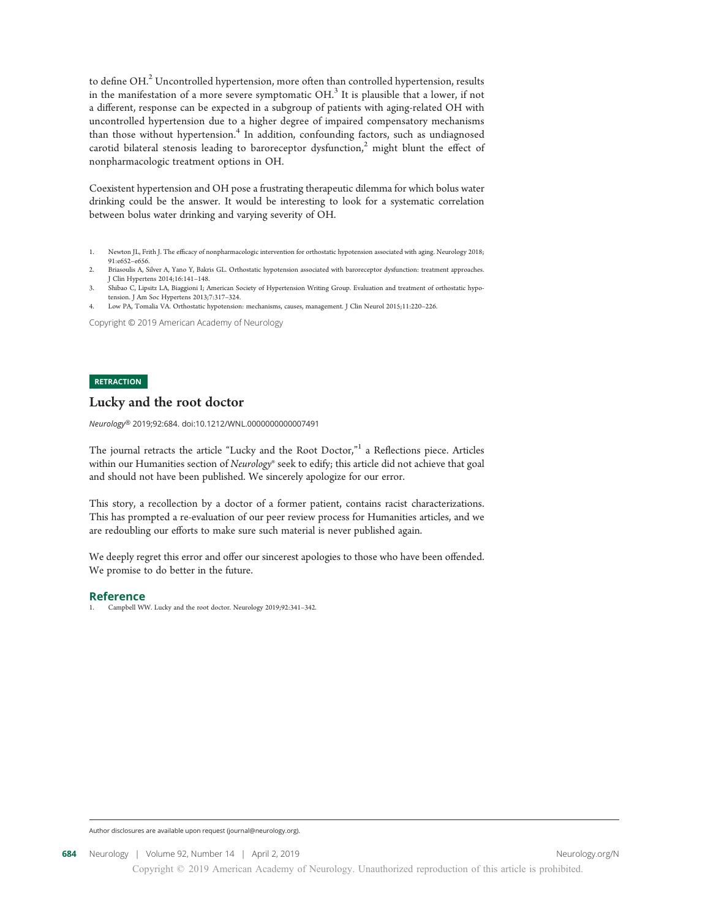to define OH. $^2$  Uncontrolled hypertension, more often than controlled hypertension, results in the manifestation of a more severe symptomatic  $OH$ <sup>3</sup>. It is plausible that a lower, if not a different, response can be expected in a subgroup of patients with aging-related OH with uncontrolled hypertension due to a higher degree of impaired compensatory mechanisms than those without hypertension.<sup>4</sup> In addition, confounding factors, such as undiagnosed carotid bilateral stenosis leading to baroreceptor dysfunction,<sup>2</sup> might blunt the effect of nonpharmacologic treatment options in OH.

Coexistent hypertension and OH pose a frustrating therapeutic dilemma for which bolus water drinking could be the answer. It would be interesting to look for a systematic correlation between bolus water drinking and varying severity of OH.

Copyright © 2019 American Academy of Neurology

#### **RETRACTION**

#### Lucky and the root doctor

Neurology® 2019;92:684. doi:10.1212/WNL.0000000000007491

The journal retracts the article "Lucky and the Root Doctor,"<sup>1</sup> a Reflections piece. Articles within our Humanities section of Neurology® seek to edify; this article did not achieve that goal and should not have been published. We sincerely apologize for our error.

This story, a recollection by a doctor of a former patient, contains racist characterizations. This has prompted a re-evaluation of our peer review process for Humanities articles, and we are redoubling our efforts to make sure such material is never published again.

We deeply regret this error and offer our sincerest apologies to those who have been offended. We promise to do better in the future.

#### Reference

1. Campbell WW. Lucky and the root doctor. Neurology 2019;92:341–342.

Author disclosures are available upon request ([journal@neurology.org](mailto:journal@neurology.org)).

<sup>1.</sup> Newton JL, Frith J. The efficacy of nonpharmacologic intervention for orthostatic hypotension associated with aging. Neurology 2018; 91:e652–e656.

<sup>2.</sup> Briasoulis A, Silver A, Yano Y, Bakris GL. Orthostatic hypotension associated with baroreceptor dysfunction: treatment approaches. J Clin Hypertens 2014;16:141–148.

<sup>3.</sup> Shibao C, Lipsitz LA, Biaggioni I; American Society of Hypertension Writing Group. Evaluation and treatment of orthostatic hypotension. J Am Soc Hypertens 2013;7:317–324.

<sup>4.</sup> Low PA, Tomalia VA. Orthostatic hypotension: mechanisms, causes, management. J Clin Neurol 2015;11:220–226.